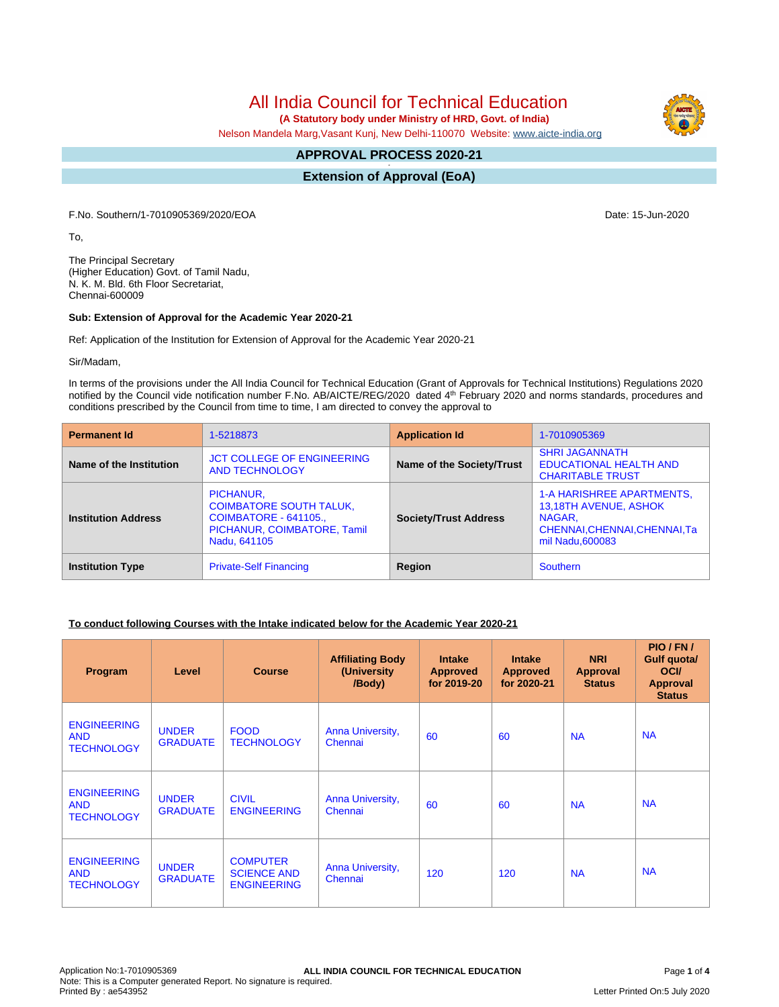All India Council for Technical Education

 **(A Statutory body under Ministry of HRD, Govt. of India)**

Nelson Mandela Marg,Vasant Kunj, New Delhi-110070 Website: [www.aicte-india.org](http://www.aicte-india.org)

#### **APPROVAL PROCESS 2020-21 -**

**Extension of Approval (EoA)**

F.No. Southern/1-7010905369/2020/EOA Date: 15-Jun-2020

To,

The Principal Secretary (Higher Education) Govt. of Tamil Nadu, N. K. M. Bld. 6th Floor Secretariat, Chennai-600009

#### **Sub: Extension of Approval for the Academic Year 2020-21**

Ref: Application of the Institution for Extension of Approval for the Academic Year 2020-21

Sir/Madam,

In terms of the provisions under the All India Council for Technical Education (Grant of Approvals for Technical Institutions) Regulations 2020 notified by the Council vide notification number F.No. AB/AICTE/REG/2020 dated 4<sup>th</sup> February 2020 and norms standards, procedures and conditions prescribed by the Council from time to time, I am directed to convey the approval to

| <b>Permanent Id</b>        | 1-5218873                                                                                                                  | <b>Application Id</b>        | 1-7010905369                                                                                                             |
|----------------------------|----------------------------------------------------------------------------------------------------------------------------|------------------------------|--------------------------------------------------------------------------------------------------------------------------|
| Name of the Institution    | <b>JCT COLLEGE OF ENGINEERING</b><br><b>AND TECHNOLOGY</b>                                                                 | Name of the Society/Trust    | <b>SHRI JAGANNATH</b><br><b>EDUCATIONAL HEALTH AND</b><br><b>CHARITABLE TRUST</b>                                        |
| <b>Institution Address</b> | PICHANUR,<br><b>COIMBATORE SOUTH TALUK,</b><br><b>COIMBATORE - 641105.,</b><br>PICHANUR, COIMBATORE, Tamil<br>Nadu, 641105 | <b>Society/Trust Address</b> | <b>1-A HARISHREE APARTMENTS,</b><br>13,18TH AVENUE, ASHOK<br>NAGAR.<br>CHENNAI, CHENNAI, CHENNAI, Ta<br>mil Nadu, 600083 |
| <b>Institution Type</b>    | <b>Private-Self Financing</b>                                                                                              | Region                       | <b>Southern</b>                                                                                                          |

### **To conduct following Courses with the Intake indicated below for the Academic Year 2020-21**

| Program                                               | Level                           | <b>Course</b>                                               | <b>Affiliating Body</b><br>(University)<br>/Body) | <b>Intake</b><br><b>Approved</b><br>for 2019-20 | <b>Intake</b><br><b>Approved</b><br>for 2020-21 | <b>NRI</b><br>Approval<br><b>Status</b> | PIO/FN/<br>Gulf quota/<br><b>OCI</b><br><b>Approval</b><br><b>Status</b> |
|-------------------------------------------------------|---------------------------------|-------------------------------------------------------------|---------------------------------------------------|-------------------------------------------------|-------------------------------------------------|-----------------------------------------|--------------------------------------------------------------------------|
| <b>ENGINEERING</b><br><b>AND</b><br><b>TECHNOLOGY</b> | <b>UNDER</b><br><b>GRADUATE</b> | <b>FOOD</b><br><b>TECHNOLOGY</b>                            | Anna University,<br>Chennai                       | 60                                              | 60                                              | <b>NA</b>                               | <b>NA</b>                                                                |
| <b>ENGINEERING</b><br><b>AND</b><br><b>TECHNOLOGY</b> | <b>UNDER</b><br><b>GRADUATE</b> | <b>CIVIL</b><br><b>ENGINEERING</b>                          | Anna University,<br>Chennai                       | 60                                              | 60                                              | <b>NA</b>                               | <b>NA</b>                                                                |
| <b>ENGINEERING</b><br><b>AND</b><br><b>TECHNOLOGY</b> | <b>UNDER</b><br><b>GRADUATE</b> | <b>COMPUTER</b><br><b>SCIENCE AND</b><br><b>ENGINEERING</b> | Anna University,<br>Chennai                       | 120                                             | 120                                             | <b>NA</b>                               | <b>NA</b>                                                                |

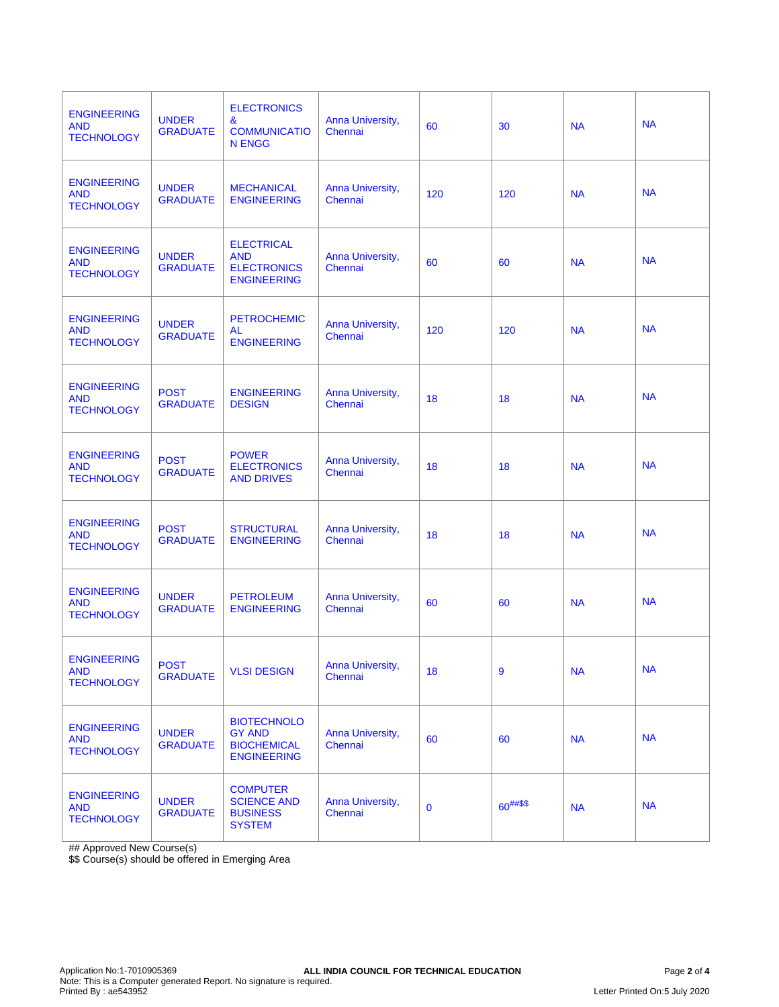| <b>ENGINEERING</b><br><b>AND</b><br><b>TECHNOLOGY</b> | <b>UNDER</b><br><b>GRADUATE</b> | <b>ELECTRONICS</b><br>&<br><b>COMMUNICATIO</b><br><b>N ENGG</b>                 | Anna University,<br>Chennai | 60          | 30            | <b>NA</b> | <b>NA</b> |
|-------------------------------------------------------|---------------------------------|---------------------------------------------------------------------------------|-----------------------------|-------------|---------------|-----------|-----------|
| <b>ENGINEERING</b><br><b>AND</b><br><b>TECHNOLOGY</b> | <b>UNDER</b><br><b>GRADUATE</b> | <b>MECHANICAL</b><br><b>ENGINEERING</b>                                         | Anna University,<br>Chennai | 120         | 120           | <b>NA</b> | <b>NA</b> |
| <b>ENGINEERING</b><br><b>AND</b><br><b>TECHNOLOGY</b> | <b>UNDER</b><br><b>GRADUATE</b> | <b>ELECTRICAL</b><br><b>AND</b><br><b>ELECTRONICS</b><br><b>ENGINEERING</b>     | Anna University,<br>Chennai | 60          | 60            | <b>NA</b> | <b>NA</b> |
| <b>ENGINEERING</b><br><b>AND</b><br><b>TECHNOLOGY</b> | <b>UNDER</b><br><b>GRADUATE</b> | <b>PETROCHEMIC</b><br><b>AL</b><br><b>ENGINEERING</b>                           | Anna University,<br>Chennai | 120         | 120           | <b>NA</b> | <b>NA</b> |
| <b>ENGINEERING</b><br><b>AND</b><br><b>TECHNOLOGY</b> | <b>POST</b><br><b>GRADUATE</b>  | <b>ENGINEERING</b><br><b>DESIGN</b>                                             | Anna University,<br>Chennai | 18          | 18            | <b>NA</b> | <b>NA</b> |
| <b>ENGINEERING</b><br><b>AND</b><br><b>TECHNOLOGY</b> | <b>POST</b><br><b>GRADUATE</b>  | <b>POWER</b><br><b>ELECTRONICS</b><br><b>AND DRIVES</b>                         | Anna University,<br>Chennai | 18          | 18            | <b>NA</b> | <b>NA</b> |
| <b>ENGINEERING</b><br><b>AND</b><br><b>TECHNOLOGY</b> | <b>POST</b><br><b>GRADUATE</b>  | <b>STRUCTURAL</b><br><b>ENGINEERING</b>                                         | Anna University,<br>Chennai | 18          | 18            | <b>NA</b> | <b>NA</b> |
| <b>ENGINEERING</b><br><b>AND</b><br><b>TECHNOLOGY</b> | <b>UNDER</b><br><b>GRADUATE</b> | <b>PETROLEUM</b><br><b>ENGINEERING</b>                                          | Anna University,<br>Chennai | 60          | 60            | <b>NA</b> | <b>NA</b> |
| <b>ENGINEERING</b><br><b>AND</b><br><b>TECHNOLOGY</b> | <b>POST</b><br><b>GRADUATE</b>  | <b>VLSI DESIGN</b>                                                              | Anna University,<br>Chennai | 18          | 9             | <b>NA</b> | <b>NA</b> |
| <b>ENGINEERING</b><br><b>AND</b><br><b>TECHNOLOGY</b> | <b>UNDER</b><br><b>GRADUATE</b> | <b>BIOTECHNOLO</b><br><b>GY AND</b><br><b>BIOCHEMICAL</b><br><b>ENGINEERING</b> | Anna University,<br>Chennai | 60          | 60            | <b>NA</b> | <b>NA</b> |
| <b>ENGINEERING</b><br><b>AND</b><br><b>TECHNOLOGY</b> | <b>UNDER</b><br><b>GRADUATE</b> | <b>COMPUTER</b><br><b>SCIENCE AND</b><br><b>BUSINESS</b><br><b>SYSTEM</b>       | Anna University,<br>Chennai | $\mathbf 0$ | $60^{##\$\$}$ | <b>NA</b> | <b>NA</b> |

## Approved New Course(s)

\$\$ Course(s) should be offered in Emerging Area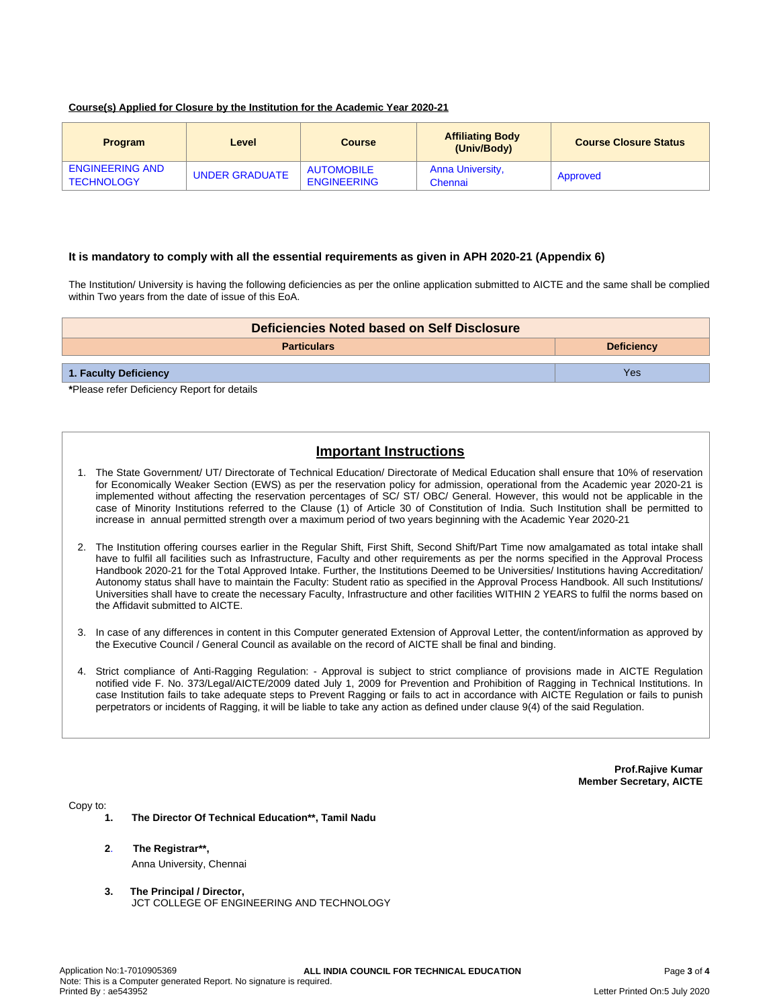#### **Course(s) Applied for Closure by the Institution for the Academic Year 2020-21**

| <b>Program</b>                              | Level          | <b>Course</b>                           | <b>Affiliating Body</b><br>(Univ/Body) | <b>Course Closure Status</b> |
|---------------------------------------------|----------------|-----------------------------------------|----------------------------------------|------------------------------|
| <b>ENGINEERING AND</b><br><b>TECHNOLOGY</b> | UNDER GRADUATE | <b>AUTOMOBILE</b><br><b>ENGINEERING</b> | Anna University,<br>Chennai            | Approved                     |

#### **It is mandatory to comply with all the essential requirements as given in APH 2020-21 (Appendix 6)**

The Institution/ University is having the following deficiencies as per the online application submitted to AICTE and the same shall be complied within Two years from the date of issue of this EoA.

| Deficiencies Noted based on Self Disclosure |                   |  |  |  |
|---------------------------------------------|-------------------|--|--|--|
| <b>Particulars</b>                          | <b>Deficiency</b> |  |  |  |
| 1. Faculty Deficiency                       | Yes               |  |  |  |
| *Please refer Deficiency Report for details |                   |  |  |  |

# **Important Instructions**

- 1. The State Government/ UT/ Directorate of Technical Education/ Directorate of Medical Education shall ensure that 10% of reservation for Economically Weaker Section (EWS) as per the reservation policy for admission, operational from the Academic year 2020-21 is implemented without affecting the reservation percentages of SC/ ST/ OBC/ General. However, this would not be applicable in the case of Minority Institutions referred to the Clause (1) of Article 30 of Constitution of India. Such Institution shall be permitted to increase in annual permitted strength over a maximum period of two years beginning with the Academic Year 2020-21
- 2. The Institution offering courses earlier in the Regular Shift, First Shift, Second Shift/Part Time now amalgamated as total intake shall have to fulfil all facilities such as Infrastructure, Faculty and other requirements as per the norms specified in the Approval Process Handbook 2020-21 for the Total Approved Intake. Further, the Institutions Deemed to be Universities/ Institutions having Accreditation/ Autonomy status shall have to maintain the Faculty: Student ratio as specified in the Approval Process Handbook. All such Institutions/ Universities shall have to create the necessary Faculty, Infrastructure and other facilities WITHIN 2 YEARS to fulfil the norms based on the Affidavit submitted to AICTE.
- 3. In case of any differences in content in this Computer generated Extension of Approval Letter, the content/information as approved by the Executive Council / General Council as available on the record of AICTE shall be final and binding.
- 4. Strict compliance of Anti-Ragging Regulation: Approval is subject to strict compliance of provisions made in AICTE Regulation notified vide F. No. 373/Legal/AICTE/2009 dated July 1, 2009 for Prevention and Prohibition of Ragging in Technical Institutions. In case Institution fails to take adequate steps to Prevent Ragging or fails to act in accordance with AICTE Regulation or fails to punish perpetrators or incidents of Ragging, it will be liable to take any action as defined under clause 9(4) of the said Regulation.

**Prof.Rajive Kumar Member Secretary, AICTE**

Copy to:

- **1. The Director Of Technical Education\*\*, Tamil Nadu**
- **2**. **The Registrar\*\*,** Anna University, Chennai
- **3. The Principal / Director,** JCT COLLEGE OF ENGINEERING AND TECHNOLOGY